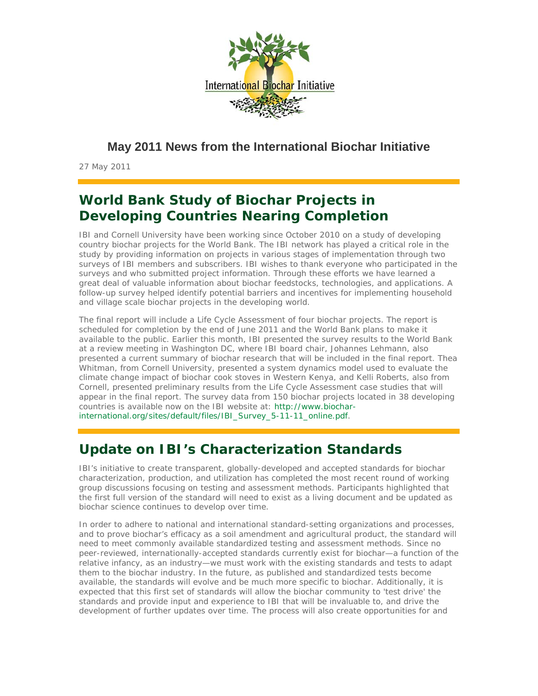

**May 2011 News from the International Biochar Initiative**

27 May 2011

# **World Bank Study of Biochar Projects in Developing Countries Nearing Completion**

IBI and Cornell University have been working since October 2010 on a study of developing country biochar projects for the World Bank. The IBI network has played a critical role in the study by providing information on projects in various stages of implementation through two surveys of IBI members and subscribers. IBI wishes to thank everyone who participated in the surveys and who submitted project information. Through these efforts we have learned a great deal of valuable information about biochar feedstocks, technologies, and applications. A follow-up survey helped identify potential barriers and incentives for implementing household and village scale biochar projects in the developing world.

The final report will include a Life Cycle Assessment of four biochar projects. The report is scheduled for completion by the end of June 2011 and the World Bank plans to make it available to the public. Earlier this month, IBI presented the survey results to the World Bank at a review meeting in Washington DC, where IBI board chair, Johannes Lehmann, also presented a current summary of biochar research that will be included in the final report. Thea Whitman, from Cornell University, presented a system dynamics model used to evaluate the climate change impact of biochar cook stoves in Western Kenya, and Kelli Roberts, also from Cornell, presented preliminary results from the Life Cycle Assessment case studies that will appear in the final report. The survey data from 150 biochar projects located in 38 developing countries is available now on the IBI website at: http://www.biocharinternational.org/sites/default/files/IBI\_Survey\_5-11-11\_online.pdf.

# **Update on IBI's Characterization Standards**

IBI's initiative to create transparent, globally-developed and accepted standards for biochar characterization, production, and utilization has completed the most recent round of working group discussions focusing on testing and assessment methods. Participants highlighted that the first full version of the standard will need to exist as a living document and be updated as biochar science continues to develop over time.

In order to adhere to national and international standard-setting organizations and processes, and to prove biochar's efficacy as a soil amendment and agricultural product, the standard will need to meet commonly available standardized testing and assessment methods. Since no peer-reviewed, internationally-accepted standards currently exist for biochar—a function of the relative infancy, as an industry—we must work with the existing standards and tests to adapt them to the biochar industry. In the future, as published and standardized tests become available, the standards will evolve and be much more specific to biochar. Additionally, it is expected that this first set of standards will allow the biochar community to 'test drive' the standards and provide input and experience to IBI that will be invaluable to, and drive the development of further updates over time. The process will also create opportunities for and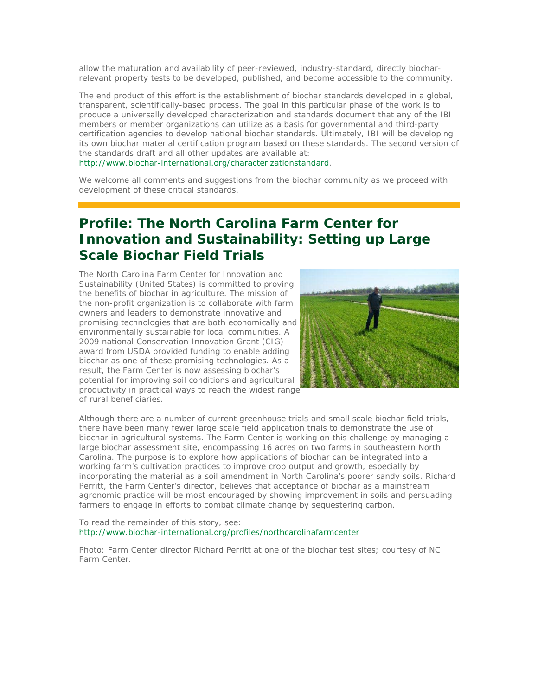allow the maturation and availability of peer-reviewed, industry-standard, directly biocharrelevant property tests to be developed, published, and become accessible to the community.

The end product of this effort is the establishment of biochar standards developed in a global, transparent, scientifically-based process. The goal in this particular phase of the work is to produce a universally developed characterization and standards document that any of the IBI members or member organizations can utilize as a basis for governmental and third-party certification agencies to develop national biochar standards. Ultimately, IBI will be developing its own biochar material certification program based on these standards. The second version of the standards draft and all other updates are available at:

http://www.biochar-international.org/characterizationstandard.

We welcome all comments and suggestions from the biochar community as we proceed with development of these critical standards.

# **Profile: The North Carolina Farm Center for Innovation and Sustainability: Setting up Large Scale Biochar Field Trials**

The North Carolina Farm Center for Innovation and Sustainability (United States) is committed to proving the benefits of biochar in agriculture. The mission of the non-profit organization is to collaborate with farm owners and leaders to demonstrate innovative and promising technologies that are both economically and environmentally sustainable for local communities. A 2009 national Conservation Innovation Grant (CIG) award from USDA provided funding to enable adding biochar as one of these promising technologies. As a result, the Farm Center is now assessing biochar's potential for improving soil conditions and agricultural productivity in practical ways to reach the widest range of rural beneficiaries.



Although there are a number of current greenhouse trials and small scale biochar field trials, there have been many fewer large scale field application trials to demonstrate the use of biochar in agricultural systems. The Farm Center is working on this challenge by managing a large biochar assessment site, encompassing 16 acres on two farms in southeastern North Carolina. The purpose is to explore how applications of biochar can be integrated into a working farm's cultivation practices to improve crop output and growth, especially by incorporating the material as a soil amendment in North Carolina's poorer sandy soils. Richard Perritt, the Farm Center's director, believes that acceptance of biochar as a mainstream agronomic practice will be most encouraged by showing improvement in soils and persuading farmers to engage in efforts to combat climate change by sequestering carbon.

#### To read the remainder of this story, see: http://www.biochar-international.org/profiles/northcarolinafarmcenter

Photo: Farm Center director Richard Perritt at one of the biochar test sites; courtesy of NC Farm Center.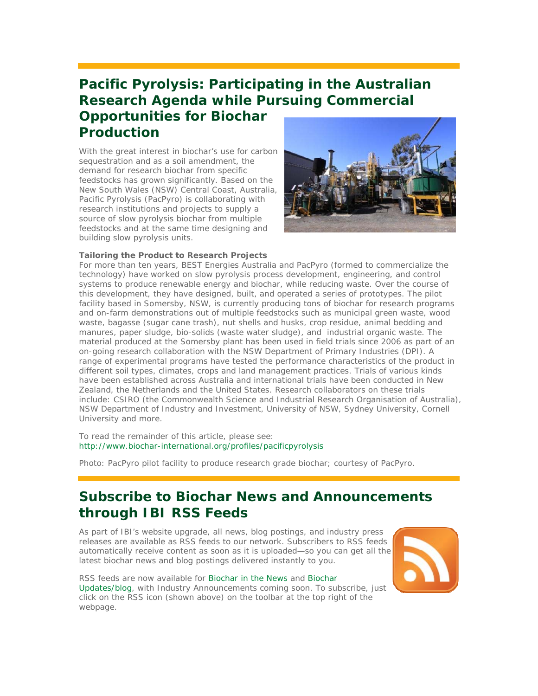# **Pacific Pyrolysis: Participating in the Australian Research Agenda while Pursuing Commercial Opportunities for Biochar Production**

With the great interest in biochar's use for carbon sequestration and as a soil amendment, the demand for research biochar from specific feedstocks has grown significantly. Based on the New South Wales (NSW) Central Coast, Australia, Pacific Pyrolysis (PacPyro) is collaborating with research institutions and projects to supply a source of slow pyrolysis biochar from multiple feedstocks and at the same time designing and building slow pyrolysis units.



#### *Tailoring the Product to Research Projects*

For more than ten years, BEST Energies Australia and PacPyro (formed to commercialize the technology) have worked on slow pyrolysis process development, engineering, and control systems to produce renewable energy and biochar, while reducing waste. Over the course of this development, they have designed, built, and operated a series of prototypes. The pilot facility based in Somersby, NSW, is currently producing tons of biochar for research programs and on-farm demonstrations out of multiple feedstocks such as municipal green waste, wood waste, bagasse (sugar cane trash), nut shells and husks, crop residue, animal bedding and manures, paper sludge, bio-solids (waste water sludge), and industrial organic waste. The material produced at the Somersby plant has been used in field trials since 2006 as part of an on-going research collaboration with the NSW Department of Primary Industries (DPI). A range of experimental programs have tested the performance characteristics of the product in different soil types, climates, crops and land management practices. Trials of various kinds have been established across Australia and international trials have been conducted in New Zealand, the Netherlands and the United States. Research collaborators on these trials include: CSIRO (the Commonwealth Science and Industrial Research Organisation of Australia), NSW Department of Industry and Investment, University of NSW, Sydney University, Cornell University and more.

To read the remainder of this article, please see: http://www.biochar-international.org/profiles/pacificpyrolysis

Photo: PacPyro pilot facility to produce research grade biochar; courtesy of PacPyro.

### **Subscribe to Biochar News and Announcements through IBI RSS Feeds**

As part of IBI's website upgrade, all news, blog postings, and industry press releases are available as RSS feeds to our network. Subscribers to RSS feeds automatically receive content as soon as it is uploaded—so you can get all the latest biochar news and blog postings delivered instantly to you.

RSS feeds are now available for Biochar in the News and Biochar Updates/blog, with Industry Announcements coming soon. To subscribe, just click on the RSS icon (shown above) on the toolbar at the top right of the webpage.

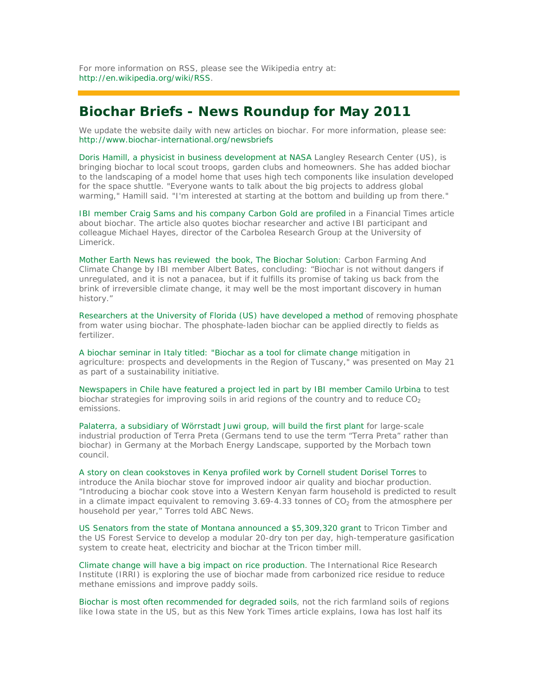For more information on RSS, please see the Wikipedia entry at: http://en.wikipedia.org/wiki/RSS.

### **Biochar Briefs - News Roundup for May 2011**

We update the website daily with new articles on biochar. For more information, please see: http://www.biochar-international.org/newsbriefs

Doris Hamill, a physicist in business development at NASA Langley Research Center (US), is bringing biochar to local scout troops, garden clubs and homeowners. She has added biochar to the landscaping of a model home that uses high tech components like insulation developed for the space shuttle. "Everyone wants to talk about the big projects to address global warming," Hamill said. "I'm interested at starting at the bottom and building up from there."

IBI member Craig Sams and his company Carbon Gold are profiled in a Financial Times article about biochar. The article also quotes biochar researcher and active IBI participant and colleague Michael Hayes, director of the Carbolea Research Group at the University of Limerick.

Mother Earth News has reviewed the book, *The Biochar Solution: Carbon Farming And Climate Change* by IBI member Albert Bates, concluding: "Biochar is not without dangers if unregulated, and it is not a panacea, but if it fulfills its promise of taking us back from the brink of irreversible climate change, it may well be the most important discovery in human history."

Researchers at the University of Florida (US) have developed a method of removing phosphate from water using biochar. The phosphate-laden biochar can be applied directly to fields as fertilizer.

A biochar seminar in Italy titled: "Biochar as a tool for climate change mitigation in agriculture: prospects and developments in the Region of Tuscany," was presented on May 21 as part of a sustainability initiative.

Newspapers in Chile have featured a project led in part by IBI member Camilo Urbina to test biochar strategies for improving soils in arid regions of the country and to reduce  $CO<sub>2</sub>$ emissions.

Palaterra, a subsidiary of Wörrstadt Juwi group, will build the first plant for large-scale industrial production of Terra Preta (Germans tend to use the term "Terra Preta" rather than biochar) in Germany at the Morbach Energy Landscape, supported by the Morbach town council.

A story on clean cookstoves in Kenya profiled work by Cornell student Dorisel Torres to introduce the Anila biochar stove for improved indoor air quality and biochar production. "Introducing a biochar cook stove into a Western Kenyan farm household is predicted to result in a climate impact equivalent to removing  $3.69-4.33$  tonnes of  $CO<sub>2</sub>$  from the atmosphere per household per year," Torres told ABC News.

US Senators from the state of Montana announced a \$5,309,320 grant to Tricon Timber and the US Forest Service to develop a modular 20-dry ton per day, high-temperature gasification system to create heat, electricity and biochar at the Tricon timber mill.

Climate change will have a big impact on rice production. The International Rice Research Institute (IRRI) is exploring the use of biochar made from carbonized rice residue to reduce methane emissions and improve paddy soils.

Biochar is most often recommended for degraded soils, not the rich farmland soils of regions like Iowa state in the US, but as this New York Times article explains, Iowa has lost half its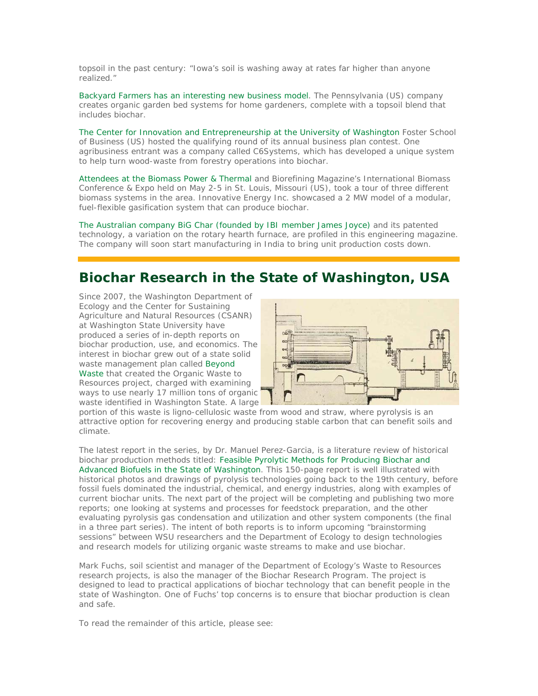topsoil in the past century: "Iowa's soil is washing away at rates far higher than anyone realized."

Backyard Farmers has an interesting new business model. The Pennsylvania (US) company creates organic garden bed systems for home gardeners, complete with a topsoil blend that includes biochar.

The Center for Innovation and Entrepreneurship at the University of Washington Foster School of Business (US) hosted the qualifying round of its annual business plan contest. One agribusiness entrant was a company called C6Systems, which has developed a unique system to help turn wood-waste from forestry operations into biochar.

Attendees at the Biomass Power & Thermal and Biorefining Magazine's International Biomass Conference & Expo held on May 2-5 in St. Louis, Missouri (US), took a tour of three different biomass systems in the area. Innovative Energy Inc. showcased a 2 MW model of a modular, fuel-flexible gasification system that can produce biochar.

The Australian company BiG Char (founded by IBI member James Joyce) and its patented technology, a variation on the rotary hearth furnace, are profiled in this engineering magazine. The company will soon start manufacturing in India to bring unit production costs down.

### **Biochar Research in the State of Washington, USA**

Since 2007, the Washington Department of Ecology and the Center for Sustaining Agriculture and Natural Resources (CSANR) at Washington State University have produced a series of in-depth reports on biochar production, use, and economics. The interest in biochar grew out of a state solid waste management plan called Beyond Waste that created the Organic Waste to Resources project, charged with examining ways to use nearly 17 million tons of organic waste identified in Washington State. A large



portion of this waste is ligno-cellulosic waste from wood and straw, where pyrolysis is an attractive option for recovering energy and producing stable carbon that can benefit soils and climate.

The latest report in the series, by Dr. Manuel Perez-Garcia, is a literature review of historical biochar production methods titled: Feasible Pyrolytic Methods for Producing Biochar and Advanced Biofuels in the State of Washington. This 150-page report is well illustrated with historical photos and drawings of pyrolysis technologies going back to the 19th century, before fossil fuels dominated the industrial, chemical, and energy industries, along with examples of current biochar units. The next part of the project will be completing and publishing two more reports; one looking at systems and processes for feedstock preparation, and the other evaluating pyrolysis gas condensation and utilization and other system components (the final in a three part series). The intent of both reports is to inform upcoming "brainstorming sessions" between WSU researchers and the Department of Ecology to design technologies and research models for utilizing organic waste streams to make and use biochar.

Mark Fuchs, soil scientist and manager of the Department of Ecology's Waste to Resources research projects, is also the manager of the Biochar Research Program. The project is designed to lead to practical applications of biochar technology that can benefit people in the state of Washington. One of Fuchs' top concerns is to ensure that biochar production is clean and safe.

To read the remainder of this article, please see: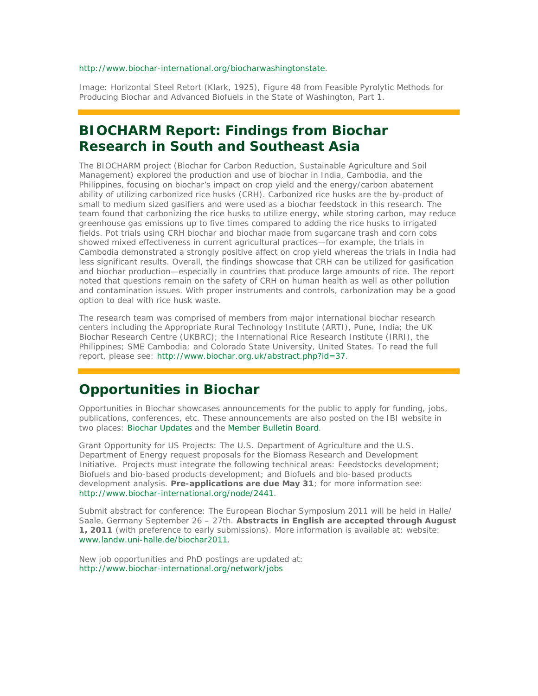#### http://www.biochar-international.org/biocharwashingtonstate.

Image: Horizontal Steel Retort (Klark, 1925), Figure 48 from Feasible Pyrolytic Methods for Producing Biochar and Advanced Biofuels in the State of Washington, Part 1.

### **BIOCHARM Report: Findings from Biochar Research in South and Southeast Asia**

The BIOCHARM project (Biochar for Carbon Reduction, Sustainable Agriculture and Soil Management) explored the production and use of biochar in India, Cambodia, and the Philippines, focusing on biochar's impact on crop yield and the energy/carbon abatement ability of utilizing carbonized rice husks (CRH). Carbonized rice husks are the by-product of small to medium sized gasifiers and were used as a biochar feedstock in this research. The team found that carbonizing the rice husks to utilize energy, while storing carbon, may reduce greenhouse gas emissions up to five times compared to adding the rice husks to irrigated fields. Pot trials using CRH biochar and biochar made from sugarcane trash and corn cobs showed mixed effectiveness in current agricultural practices—for example, the trials in Cambodia demonstrated a strongly positive affect on crop yield whereas the trials in India had less significant results. Overall, the findings showcase that CRH can be utilized for gasification and biochar production—especially in countries that produce large amounts of rice. The report noted that questions remain on the safety of CRH on human health as well as other pollution and contamination issues. With proper instruments and controls, carbonization may be a good option to deal with rice husk waste.

The research team was comprised of members from major international biochar research centers including the Appropriate Rural Technology Institute (ARTI), Pune, India; the UK Biochar Research Centre (UKBRC); the International Rice Research Institute (IRRI), the Philippines; SME Cambodia; and Colorado State University, United States. To read the full report, please see: http://www.biochar.org.uk/abstract.php?id=37.

### **Opportunities in Biochar**

*Opportunities in Biochar* showcases announcements for the public to apply for funding, jobs, publications, conferences, etc. These announcements are also posted on the IBI website in two places: Biochar Updates and the Member Bulletin Board.

*Grant Opportunity for US Projects*: The U.S. Department of Agriculture and the U.S. Department of Energy request proposals for the Biomass Research and Development Initiative. Projects must integrate the following technical areas: Feedstocks development; Biofuels and bio-based products development; and Biofuels and bio-based products development analysis. **Pre-applications are due May 31**; for more information see: http://www.biochar-international.org/node/2441.

*Submit abstract for conference*: The European Biochar Symposium 2011 will be held in Halle/ Saale, Germany September 26 – 27th. **Abstracts in English are accepted through August 1, 2011** (with preference to early submissions). More information is available at: website: www.landw.uni-halle.de/biochar2011.

New job opportunities and PhD postings are updated at: http://www.biochar-international.org/network/jobs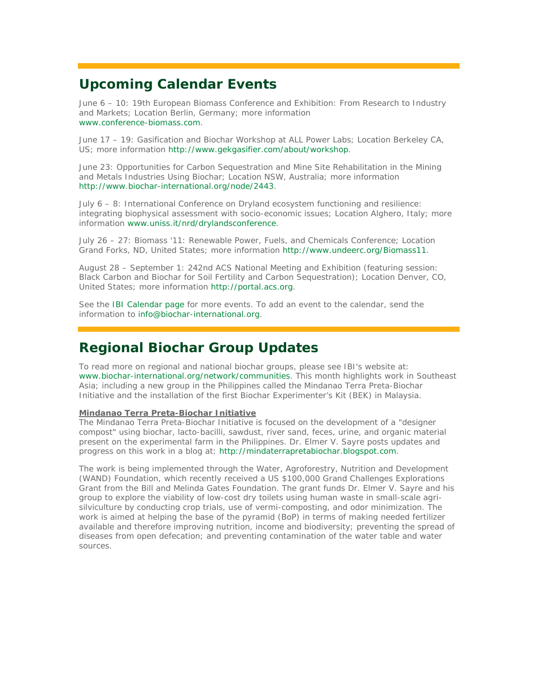# **Upcoming Calendar Events**

June 6 – 10: 19th European Biomass Conference and Exhibition: From Research to Industry and Markets; Location Berlin, Germany; more information www.conference-biomass.com.

June 17 – 19: Gasification and Biochar Workshop at ALL Power Labs; Location Berkeley CA, US; more information http://www.gekgasifier.com/about/workshop.

June 23: Opportunities for Carbon Sequestration and Mine Site Rehabilitation in the Mining and Metals Industries Using Biochar; Location NSW, Australia; more information http://www.biochar-international.org/node/2443.

July 6 – 8: International Conference on Dryland ecosystem functioning and resilience: integrating biophysical assessment with socio-economic issues; Location Alghero, Italy; more information www.uniss.it/nrd/drylandsconference.

July 26 – 27: Biomass '11: Renewable Power, Fuels, and Chemicals Conference; Location Grand Forks, ND, United States; more information http://www.undeerc.org/Biomass11.

August 28 – September 1: 242nd ACS National Meeting and Exhibition (featuring session: Black Carbon and Biochar for Soil Fertility and Carbon Sequestration); Location Denver, CO, United States; more information http://portal.acs.org.

See the IBI Calendar page for more events. To add an event to the calendar, send the information to info@biochar-international.org.

# **Regional Biochar Group Updates**

To read more on regional and national biochar groups, please see IBI's website at: www.biochar-international.org/network/communities. This month highlights work in Southeast Asia; including a new group in the Philippines called the Mindanao Terra Preta-Biochar Initiative and the installation of the first Biochar Experimenter's Kit (BEK) in Malaysia.

#### **Mindanao Terra Preta-Biochar Initiative**

The Mindanao Terra Preta-Biochar Initiative is focused on the development of a "designer compost" using biochar, lacto-bacilli, sawdust, river sand, feces, urine, and organic material present on the experimental farm in the Philippines. Dr. Elmer V. Sayre posts updates and progress on this work in a blog at: http://mindaterrapretabiochar.blogspot.com.

The work is being implemented through the Water, Agroforestry, Nutrition and Development (WAND) Foundation, which recently received a US \$100,000 Grand Challenges Explorations Grant from the Bill and Melinda Gates Foundation. The grant funds Dr. Elmer V. Sayre and his group to explore the viability of low-cost dry toilets using human waste in small-scale agrisilviculture by conducting crop trials, use of vermi-composting, and odor minimization. The work is aimed at helping the base of the pyramid (BoP) in terms of making needed fertilizer available and therefore improving nutrition, income and biodiversity; preventing the spread of diseases from open defecation; and preventing contamination of the water table and water sources.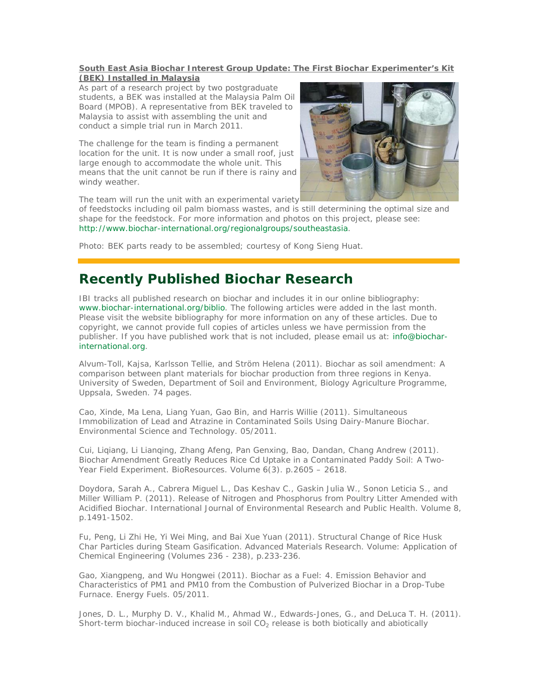#### **South East Asia Biochar Interest Group Update: The First Biochar Experimenter's Kit (BEK) Installed in Malaysia**

As part of a research project by two postgraduate students, a BEK was installed at the Malaysia Palm Oil Board (MPOB). A representative from BEK traveled to Malaysia to assist with assembling the unit and conduct a simple trial run in March 2011.

The challenge for the team is finding a permanent location for the unit. It is now under a small roof, just large enough to accommodate the whole unit. This means that the unit cannot be run if there is rainy and windy weather.



The team will run the unit with an experimental variety

of feedstocks including oil palm biomass wastes, and is still determining the optimal size and shape for the feedstock. For more information and photos on this project, please see: http://www.biochar-international.org/regionalgroups/southeastasia.

Photo: BEK parts ready to be assembled; courtesy of Kong Sieng Huat.

# **Recently Published Biochar Research**

IBI tracks all published research on biochar and includes it in our online bibliography: www.biochar-international.org/biblio. The following articles were added in the last month. Please visit the website bibliography for more information on any of these articles. Due to copyright, we cannot provide full copies of articles unless we have permission from the publisher. If you have published work that is not included, please email us at: info@biocharinternational.org.

Alvum-Toll, Kajsa, Karlsson Tellie, and Ström Helena (2011). Biochar as soil amendment: A comparison between plant materials for biochar production from three regions in Kenya. University of Sweden, Department of Soil and Environment, Biology Agriculture Programme, Uppsala, Sweden. 74 pages.

Cao, Xinde, Ma Lena, Liang Yuan, Gao Bin, and Harris Willie (2011). Simultaneous Immobilization of Lead and Atrazine in Contaminated Soils Using Dairy-Manure Biochar. Environmental Science and Technology. 05/2011.

Cui, Liqiang, Li Lianqing, Zhang Afeng, Pan Genxing, Bao, Dandan, Chang Andrew (2011). Biochar Amendment Greatly Reduces Rice Cd Uptake in a Contaminated Paddy Soil: A Two-Year Field Experiment. BioResources. Volume 6(3). p.2605 – 2618.

Doydora, Sarah A., Cabrera Miguel L., Das Keshav C., Gaskin Julia W., Sonon Leticia S., and Miller William P. (2011). Release of Nitrogen and Phosphorus from Poultry Litter Amended with Acidified Biochar. International Journal of Environmental Research and Public Health. Volume 8, p.1491-1502.

Fu, Peng, Li Zhi He, Yi Wei Ming, and Bai Xue Yuan (2011). Structural Change of Rice Husk Char Particles during Steam Gasification. Advanced Materials Research. Volume: Application of Chemical Engineering (Volumes 236 - 238), p.233-236.

Gao, Xiangpeng, and Wu Hongwei (2011). Biochar as a Fuel: 4. Emission Behavior and Characteristics of PM1 and PM10 from the Combustion of Pulverized Biochar in a Drop-Tube Furnace. Energy Fuels. 05/2011.

Jones, D. L., Murphy D. V., Khalid M., Ahmad W., Edwards-Jones, G., and DeLuca T. H. (2011). Short-term biochar-induced increase in soil  $CO<sub>2</sub>$  release is both biotically and abiotically